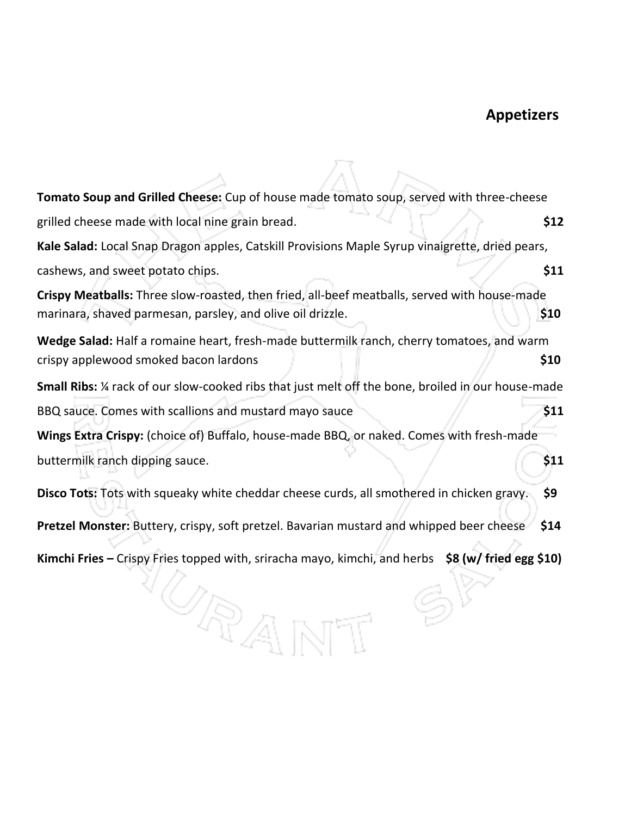# **Appetizers**

| Tomato Soup and Grilled Cheese: Cup of house made tomato soup, served with three-cheese                                                                    |      |
|------------------------------------------------------------------------------------------------------------------------------------------------------------|------|
| grilled cheese made with local nine grain bread.                                                                                                           | \$12 |
| Kale Salad: Local Snap Dragon apples, Catskill Provisions Maple Syrup vinaigrette, dried pears,                                                            |      |
| cashews, and sweet potato chips.                                                                                                                           | \$11 |
| Crispy Meatballs: Three slow-roasted, then fried, all-beef meatballs, served with house-made<br>marinara, shaved parmesan, parsley, and olive oil drizzle. | \$10 |
| Wedge Salad: Half a romaine heart, fresh-made buttermilk ranch, cherry tomatoes, and warm<br>crispy applewood smoked bacon lardons                         | \$10 |
| Small Ribs: 1/4 rack of our slow-cooked ribs that just melt off the bone, broiled in our house-made                                                        |      |
| BBQ sauce. Comes with scallions and mustard mayo sauce                                                                                                     | \$11 |
| Wings Extra Crispy: (choice of) Buffalo, house-made BBQ, or naked. Comes with fresh-made                                                                   |      |
| buttermilk ranch dipping sauce.                                                                                                                            | \$11 |
| Disco Tots: Tots with squeaky white cheddar cheese curds, all smothered in chicken gravy.                                                                  | \$9  |
| Pretzel Monster: Buttery, crispy, soft pretzel. Bavarian mustard and whipped beer cheese                                                                   | \$14 |
| Kimchi Fries – Crispy Fries topped with, sriracha mayo, kimchi, and herbs $\sin(2\theta)$ fried egg $\sin(2\theta)$<br>7D)                                 |      |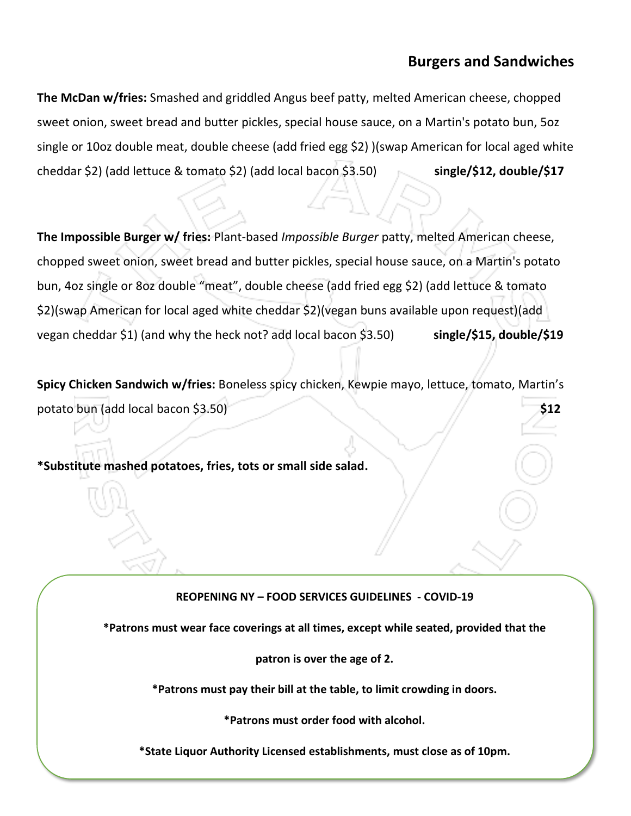# **Burgers and Sandwiches**

**The McDan w/fries:** Smashed and griddled Angus beef patty, melted American cheese, chopped sweet onion, sweet bread and butter pickles, special house sauce, on a Martin's potato bun, 5oz single or 10oz double meat, double cheese (add fried egg \$2) )(swap American for local aged white cheddar \$2) (add lettuce & tomato \$2) (add local bacon \$3.50) **single/\$12, double/\$17**

**The Impossible Burger w/ fries:** Plant-based *Impossible Burger* patty, melted American cheese, chopped sweet onion, sweet bread and butter pickles, special house sauce, on a Martin's potato bun, 4oz single or 8oz double "meat", double cheese (add fried egg \$2) (add lettuce & tomato \$2)(swap American for local aged white cheddar \$2)(vegan buns available upon request)(add vegan cheddar \$1) (and why the heck not? add local bacon \$3.50) **single/\$15, double/\$19**

**Spicy Chicken Sandwich w/fries:** Boneless spicy chicken, Kewpie mayo, lettuce, tomato, Martin's potato bun (add local bacon \$3.50) **\$12** 

**\*Substitute mashed potatoes, fries, tots or small side salad.**

#### **REOPENING NY – FOOD SERVICES GUIDELINES - COVID-19**

**\*Patrons must wear face coverings at all times, except while seated, provided that the**

**patron is over the age of 2.**

**\*Patrons must pay their bill at the table, to limit crowding in doors.**

**\*Patrons must order food with alcohol.**

**\*State Liquor Authority Licensed establishments, must close as of 10pm.**